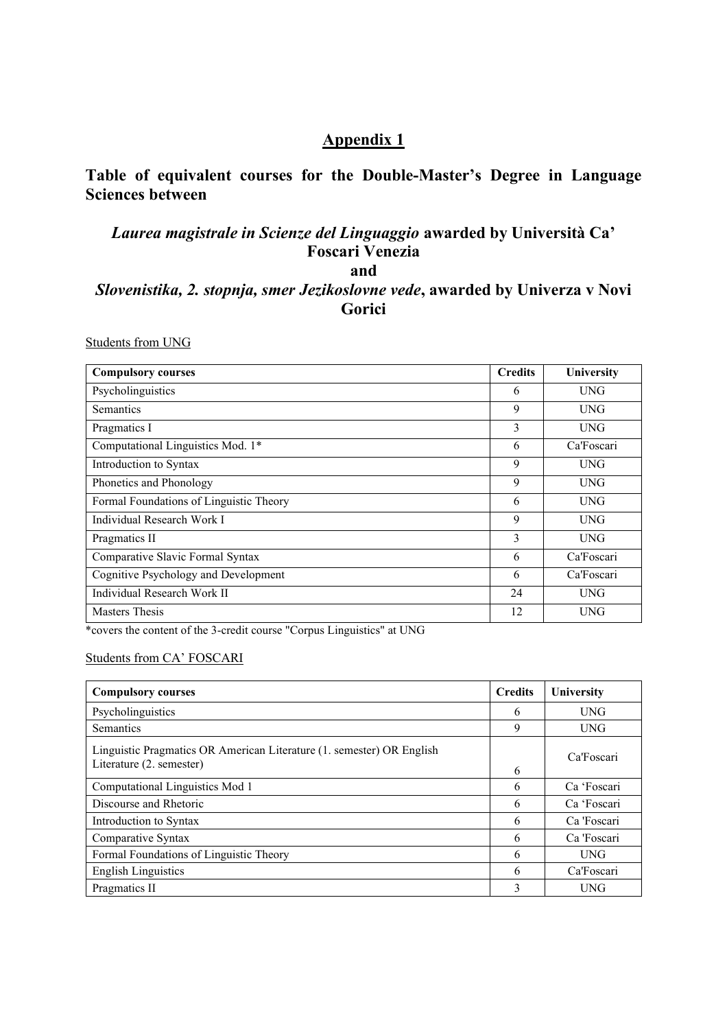## **Appendix 1**

## **Table of equivalent courses for the Double-Master's Degree in Language Sciences between**

## *Laurea magistrale in Scienze del Linguaggio* **awarded by Università Ca' Foscari Venezia**

**and**

## *Slovenistika, 2. stopnja, smer Jezikoslovne vede***, awarded by Univerza v Novi Gorici**

Students from UNG

| <b>Compulsory courses</b>               | <b>Credits</b> | University |
|-----------------------------------------|----------------|------------|
| Psycholinguistics                       | 6              | <b>UNG</b> |
| <b>Semantics</b>                        | 9              | <b>UNG</b> |
| Pragmatics I                            | 3              | <b>UNG</b> |
| Computational Linguistics Mod. 1*       | 6              | Ca'Foscari |
| Introduction to Syntax                  | 9              | <b>UNG</b> |
| Phonetics and Phonology                 | 9              | <b>UNG</b> |
| Formal Foundations of Linguistic Theory | 6              | <b>UNG</b> |
| Individual Research Work I              | 9              | <b>UNG</b> |
| Pragmatics II                           | 3              | <b>UNG</b> |
| Comparative Slavic Formal Syntax        | 6              | Ca'Foscari |
| Cognitive Psychology and Development    | 6              | Ca'Foscari |
| Individual Research Work II             | 24             | <b>UNG</b> |
| <b>Masters Thesis</b>                   | 12             | <b>UNG</b> |

\*covers the content of the 3-credit course "Corpus Linguistics" at UNG

Students from CA' FOSCARI

| <b>Compulsory courses</b>                                                                         | <b>Credits</b> | University  |
|---------------------------------------------------------------------------------------------------|----------------|-------------|
| Psycholinguistics                                                                                 | 6              | <b>UNG</b>  |
| Semantics                                                                                         | 9              | <b>UNG</b>  |
| Linguistic Pragmatics OR American Literature (1. semester) OR English<br>Literature (2. semester) | 6              | Ca'Foscari  |
| Computational Linguistics Mod 1                                                                   | 6              | Ca 'Foscari |
| Discourse and Rhetoric                                                                            | 6              | Ca 'Foscari |
| Introduction to Syntax                                                                            | 6              | Ca 'Foscari |
| Comparative Syntax                                                                                | 6              | Ca 'Foscari |
| Formal Foundations of Linguistic Theory                                                           | 6              | <b>UNG</b>  |
| <b>English Linguistics</b>                                                                        | 6              | Ca'Foscari  |
| Pragmatics II                                                                                     | 3              | <b>UNG</b>  |